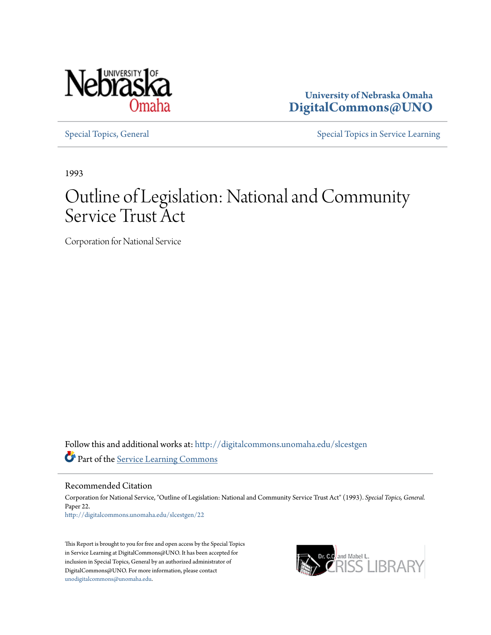

**University of Nebraska Omaha [DigitalCommons@UNO](http://digitalcommons.unomaha.edu?utm_source=digitalcommons.unomaha.edu%2Fslcestgen%2F22&utm_medium=PDF&utm_campaign=PDFCoverPages)**

[Special Topics, General](http://digitalcommons.unomaha.edu/slcestgen?utm_source=digitalcommons.unomaha.edu%2Fslcestgen%2F22&utm_medium=PDF&utm_campaign=PDFCoverPages) [Special Topics in Service Learning](http://digitalcommons.unomaha.edu/slcespecialtopics?utm_source=digitalcommons.unomaha.edu%2Fslcestgen%2F22&utm_medium=PDF&utm_campaign=PDFCoverPages)

1993

# Outline of Legislation: National and Community Service Trust Act

Corporation for National Service

Follow this and additional works at: [http://digitalcommons.unomaha.edu/slcestgen](http://digitalcommons.unomaha.edu/slcestgen?utm_source=digitalcommons.unomaha.edu%2Fslcestgen%2F22&utm_medium=PDF&utm_campaign=PDFCoverPages) Part of the [Service Learning Commons](http://network.bepress.com/hgg/discipline/1024?utm_source=digitalcommons.unomaha.edu%2Fslcestgen%2F22&utm_medium=PDF&utm_campaign=PDFCoverPages)

Recommended Citation

Corporation for National Service, "Outline of Legislation: National and Community Service Trust Act" (1993). *Special Topics, General.* Paper 22. [http://digitalcommons.unomaha.edu/slcestgen/22](http://digitalcommons.unomaha.edu/slcestgen/22?utm_source=digitalcommons.unomaha.edu%2Fslcestgen%2F22&utm_medium=PDF&utm_campaign=PDFCoverPages)

This Report is brought to you for free and open access by the Special Topics in Service Learning at DigitalCommons@UNO. It has been accepted for inclusion in Special Topics, General by an authorized administrator of DigitalCommons@UNO. For more information, please contact [unodigitalcommons@unomaha.edu](mailto:unodigitalcommons@unomaha.edu).

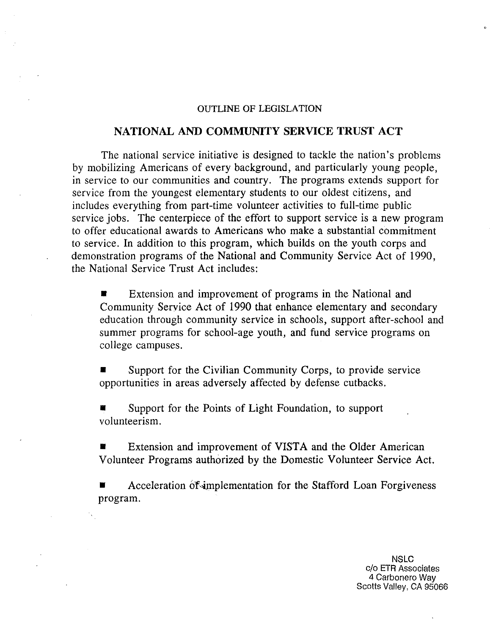#### OUTLINE OF LEGISLATION

# **NATIONAL AND COMMUNITY SERVICE TRUST ACT**

The national service initiative is designed to tackle the nation's problems by mobilizing Americans of every background, and particularly young people, in service to our communities and country. The programs extends support for service from the youngest elementary students to our oldest citizens, and includes everything from part-time volunteer activities to full-time public service jobs. The centerpiece of the effort to support service is a new program to offer educational awards to Americans who make a substantial commitment to service. In addition to this program, which builds on the youth corps and demonstration programs of the National and Community Service Act of 1990, the National Service Trust Act includes:

**Extension and improvement of programs in the National and** Community Service Act of 1990 that enhance elementary and secondary education through community service in schools, support after-school and summer programs for school-age youth, and fund service programs on college campuses.

Support for the Civilian Community Corps, to provide service opportunities in areas adversely affected by defense cutbacks.

Support for the Points of Light Foundation, to support volunteerism.

**• Extension and improvement of VISTA and the Older American** Volunteer Programs authorized by the Domestic Volunteer Service Act.

Acceleration of implementation for the Stafford Loan Forgiveness program.

> NSLC c/o ETR Associates 4 Carbonero Way Scotts Valley, CA 95066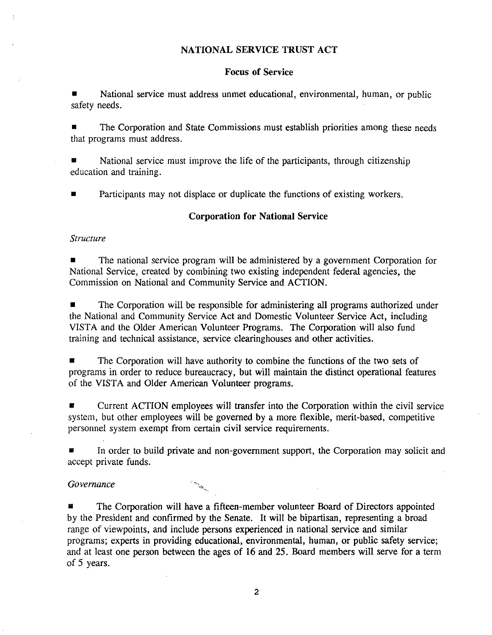## NATIONAL SERVICE TRUST ACT

#### Focus of Service

• National service must address unmet educational, environmental, human, or public safety needs.

The Corporation and State Commissions must establish priorities among these needs that programs must address.

• National service must improve the life of the participants, through citizenship education and training.

• Participants may not displace or duplicate the functions of existing workers.

#### Corporation for National Service

#### *Structure*

• The national service program will be administered by a government Corporation for National Service, created by combining two existing independent federal agencies, the Commission on National and Community Service and ACTION.

The Corporation will be responsible for administering all programs authorized under the National and Community Service Act and Domestic Volunteer Service Act, including VISTA and the Older American Volunteer Programs. The Corporation will also fund training and technical assistance, service clearinghouses and other activities.

The Corporation will have authority to combine the functions of the two sets of programs in order to reduce bureaucracy, but will maintain the distinct operational features of the VISTA and Older American Volunteer programs.

• Current ACTION employees will transfer into the Corporation within the civil service system, but other employees will be governed by a more flexible, merit-based, competitive personnel system exempt from certain civil service requirements.

In order to build private and non-government support, the Corporation may solicit and accept private funds.

#### *Governance*

The Corporation will have a fifteen-member volunteer Board of Directors appointed by the.President and confirmed by the Senate. It will be bipartisan, representing a broad range of viewpoints, and include persons experienced in national service and similar programs; experts in providing educational, environmental, human, or public safety service; and at least one person between the ages of 16 and 25. Board members will serve for a term of 5 years.

2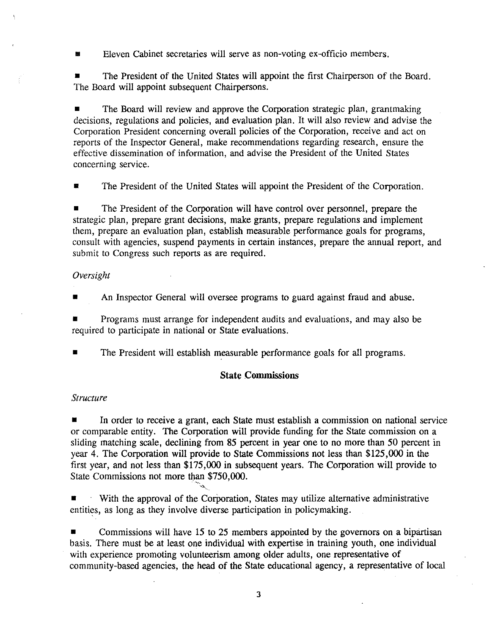Eleven Cabinet secretaries will serve as non-voting ex-officio members.

**<sup>11</sup>**The President of the United States will appoint the first Chairperson of the Board. The Board will appoint subsequent Chairpersons.

**<sup>11</sup>**The Board will review and approve the Corporation strategic plan, grantmaking decisions, regulations and policies, and evaluation plan. It will also review and advise the Corporation President concerning overall policies of the Corporation, receive and act on reports of the Inspector General, make recommendations regarding research, ensure the effective dissemination of information, and advise the President of the United States concerning service.

**1111** The President of the United States will appoint the President of the Corporation.

**1111** The President of the Corporation will have control over personnel, prepare the strategic plan, prepare grant decisions, make grants, prepare regulations and implement them, prepare an evaluation plan, establish measurable performance goals for programs, consult with agencies, suspend payments in certain instances, prepare the annual report, and submit to Congress such reports as are required.

## *Oversight*

An Inspector General will oversee programs to guard against fraud and abuse.

**<sup>11</sup>**Programs must arrange for independent audits and evaluations, and may also be required to participate in national or State evaluations.

**<sup>11</sup>**The President will establish measurable performance goals for all programs.

# **State Commissions**

# *Structure*

**<sup>11</sup>**In order to receive a grant, each State must establish a commission on national service or comparable entity. The Corporation will provide funding for the State commission on a sliding matching scale, declining from 85 percent in year one to no more than 50 percent in year 4. The Corporation will provide to State Commissions not less than \$125,000 in the first year, and not less than \$175,000 in subsequent years. The Corporation will provide to State Commissions not more than \$750,000.

With the approval of the Corporation, States may utilize alternative administrative entities, as long as they involve diverse participation in policymaking.

Commissions will have 15 to 25 members appointed by the governors on a bipartisan basis. There must be at least one individual with expertise in training youth, one individual with experience promoting volunteerism among older adults, one representative of community-based agencies, the head of the State educational agency, a representative of local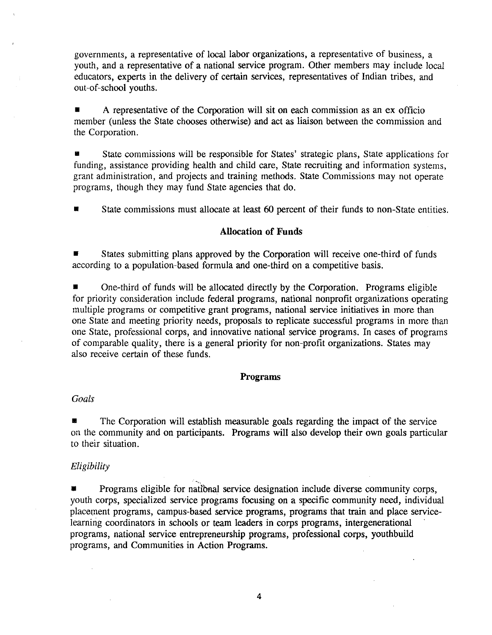governments, a representative of local labor organizations, a representative of business, a youth, and a representative of a national service program. Other members may include local educators, experts in the delivery of certain services, representatives of Indian tribes, and out-of-school youths.

• A representative of the Corporation will sit on each commission as an ex officio member (unless the State chooses otherwise) and act as liaison between the commission and the Corporation.

• State commissions will be responsible for States' strategic plans, State applications for funding, assistance providing health and child care, State recruiting and information systems, grant administration, and projects and training methods. State Commissions may not operate programs, though they may fund State agencies that do.

• State commissions must allocate at least 60 percent of their funds to non-State entities.

#### **Allocation of Funds**

• States submitting plans approved by the Corporation will receive one-third of funds according to a population-based formula and one-third on a competitive basis.

• One-third of funds will be allocated directly by the Corporation. Programs eligible for priority consideration include federal programs, national nonprofit organizations operating multiple programs or competitive grant programs, national service initiatives in more than one State and meeting priority needs, proposals to replicate successful programs in more than one State, professional corps, and innovative national service programs. In cases of programs of comparable quality, there is a general priority for non-profit organizations. States may also receive certain of these funds.

#### **Programs**

## **Goals**

• The Corporation will establish measurable goals regarding the impact of the service on the community and on participants. Programs will also develop their own goals particular to their situation.

#### *Eligibility*

**• Programs eligible for national service designation include diverse community corps,** youth corps, specialized service programs focusing on a specific community need, individual placement programs, campus-based service programs, programs that train and place servicelearning coordinators in schools or team leaders in corps programs, intergenerational programs, national service entrepreneurship programs, professional corps, youthbuild programs, and Communities in Action Programs.

4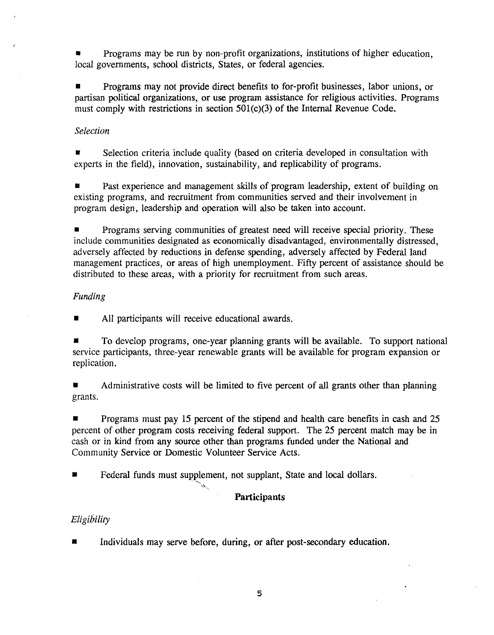• Programs may be run by non-profit organizations, institutions of higher education, local governments, school districts, States, or federal agencies.

• Programs may not provide direct benefits to for-profit businesses, labor unions, or partisan political organizations, or use program assistance for religious activities. Programs must comply with restrictions in section 501(c)(3) of the Internal Revenue Code.

## *Selection*

• Selection criteria include quality (based on criteria developed in consultation with experts in the field), innovation, sustainability, and replicability of programs.

Past experience and management skills of program leadership, extent of building on existing programs, and recruitment from communities served and their involvement in program design, leadership and operation will also be taken into account.

• Programs serving communities of greatest need will receive special priority. These include communities designated as economically disadvantaged, environmentally distressed, adversely affected by reductions in defense spending, adversely affected by Federal land management practices, or areas of high unemployment. Fifty percent of assistance should be distributed to these areas, with a priority for recruitment from such areas.

## *Funding*

All participants will receive educational awards.

• To develop programs, one-year planning grants will be available. To support national service participants, three-year renewable grants will be available for program expansion or replication.

• Administrative costs will be limited to five percent of all grants other than planning grants.

• Programs must pay 15 percent of the stipend and health care benefits in cash and 25 percent of other program costs receiving federal support. The 25 percent match may be in cash or in kind from any source other than programs funded under the National and Community Service or Domestic Volunteer Service Acts.

Federal funds must supplement, not supplant, State and local dollars.

# **Participants**

# *Eligibility*

Individuals may serve before, during, or after post-secondary education.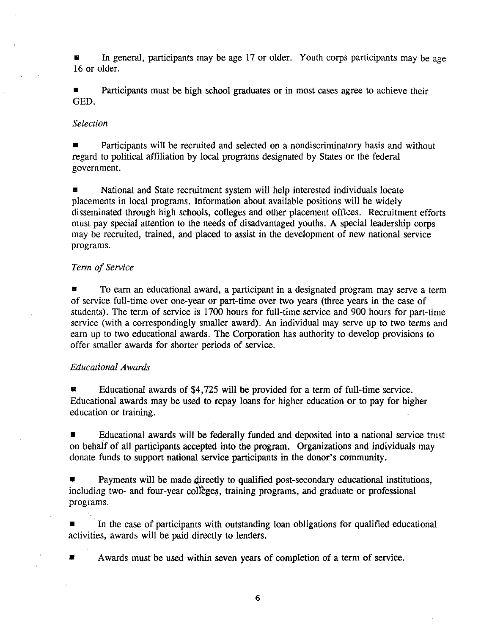**••** In general, participants may be age 17 or older. Youth corps participants may be age 16 or older.

• Participants must be high school graduates or in most cases agree to achieve their GED.

#### *Selection*

**• Participants will be recruited and selected on a nondiscriminatory basis and without** regard to political affiliation by local programs designated by States or the federal government.

• National and State recruitment system will help interested individuals locate placements in local programs. Information about available positions will be widely disseminated through high schools, colleges and other placement offices. Recruitment efforts must pay special attention to the needs of disadvantaged youths. A special leadership corps may be recruited, trained, and placed to assist in the development of new national service programs.

## *Term of Service*

• To earn an educational award, a participant in a designated program may serve a term of service full-time over one-year or part-time over two years (three years in the case of students). The term of service is 1700 hours for full-time service and 900 hours for part-time service (with a correspondingly smaller award). An individual may serve up to two terms and earn up to two educational awards. The Corporation has authority to develop provisions to offer smaller awards for shorter periods of service.

## *Educational Awards*

• Educational awards of \$4,725 will be provided for a term of full-time service. Educational awards may be used to repay loans for higher education or to pay for higher education or training.

• Educational awards will be federally funded and deposited into a national service trust on behalf of all participants accepted into the program. Organizations and individuals may donate funds to support national service participants in the donor's community.

Payments will be made-directly to qualified post-secondary educational institutions, including two- and four-year colleges, training programs, and graduate or professional programs.

In the case of participants with outstanding loan obligations for qualified educational activities, awards will be paid directly to lenders.

Awards must be used within seven years of completion of a term of service.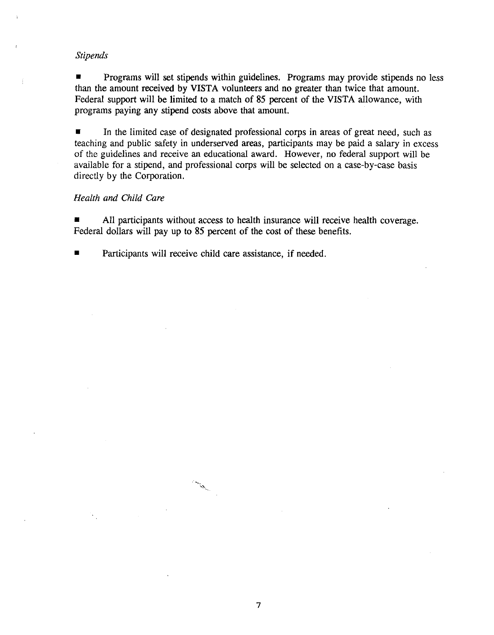## *Stipends*

**• Programs will set stipends within guidelines. Programs may provide stipends no less** than the amount received by VISTA volunteers and no greater than twice that amount. Federal support will be limited to a match of 85 percent of the VISTA allowance, with programs paying any stipend costs above that amount.

• In the limited case of designated professional corps in areas of great need, such as teaching and public safety in underserved areas, participants may be paid a salary in excess of the guidelines and receive an educational award. However, no federal support will be available for a stipend, and professional corps will be selected on a case-by-case basis directly by the Corporation.

#### *Health and Child Care*

• All participants without access to health insurance will receive health coverage. Federal dollars will pay up to 85 percent of the cost of these benefits.

**• Participants will receive child care assistance, if needed.** 

 $\mathcal{L}$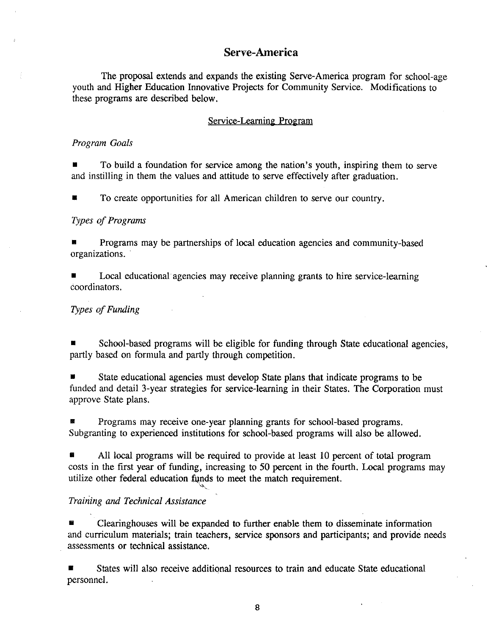# **Serve-America**

The proposal extends and expands the existing Serve-America program for school-age youth and Higher Education Innovative Projects for Community Service. Modifications to these programs are described below.

#### Service-Learning Program

#### *Program Goals*

• To build a foundation for service among the nation's youth, inspiring them to serve and instilling in them the values and attitude to serve effectively after graduation.

• To create opportunities for all American children to serve our country.

#### *Types of Programs*

• Programs may be partnerships of local education agencies and community-based organizations.

Local educational agencies may receive planning grants to hire service-learning coordinators.

#### **Types of Funding**

School-based programs will be eligible for funding through State educational agencies, partly based on formula and partly through competition.

• State educational agencies must develop State plans that indicate programs to be funded and detail 3-year strategies for service-learning in their States. The Corporation must approve State plans.

• Programs may receive one-year planning grants for school-based programs. Subgranting to experienced institutions for school-based programs will also be allowed.

• All local programs will be required to provide at least 10 percent of total program costs in the first year of funding, increasing to *50* percent in the fourth. Local programs may utilize other federal education funds to meet the match requirement.

## *Training ami Technical Assistance*

• Clearinghouses will be expanded to further enable them to disseminate information and curriculum materials; train teachers, service sponsors and participants; and provide needs assessments or technical assistance.

States will also receive additional resources to train and educate State educational personnel.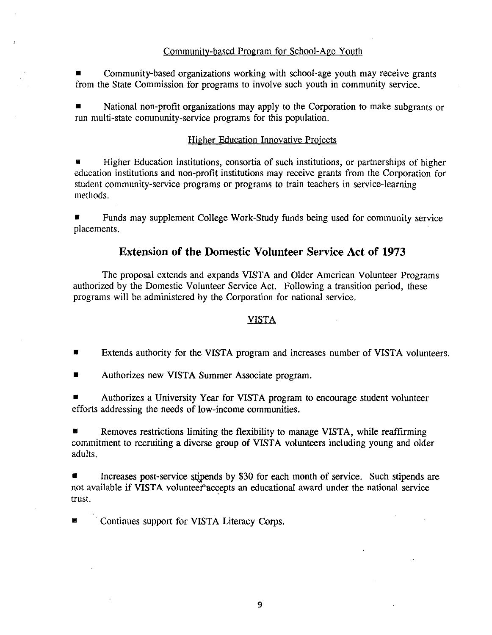## Community-based Program for School-Age Youth

• Community-based organizations working with school-age youth may receive grants from the State Commission for programs to involve such youth in community service.

• National non-profit organizations may apply to the Corporation to make subgrants or run multi-state community-service programs for this population.

#### Higher Education Innovative Projects

• Higher Education institutions, consortia of such institutions, or partnerships of higher education institutions and non-profit institutions may receive grants from the Corporation for student community-service programs or programs to train teachers in service-learning methods.

• Funds may supplement College Work-Study funds being used for community service placements.

# **Extension of the Domestic Volunteer Service Act of 1973**

The proposal extends and expands VISTA and Older American Volunteer Programs authorized by the Domestic Volunteer Service Act. Following a transition period, these programs will be administered by the Corporation for national service.

## VISTA

- **EXTERENGERIFF 2** Extends authority for the VISTA program and increases number of VISTA volunteers.
- Authorizes new VISTA Summer Associate program.

• Authorizes a University Year for VISTA program to encourage student volunteer efforts addressing the needs of low-income communities.

 $\blacksquare$  Removes restrictions limiting the flexibility to manage VISTA, while reaffirming commitment to recruiting a diverse group of VISTA volunteers including young and older adults.

Increases post-service stipends by \$30 for each month of service. Such stipends are not available if VISTA volunteer accepts an educational award under the national service trust.

 $\blacksquare$  Continues support for VISTA Literacy Corps.